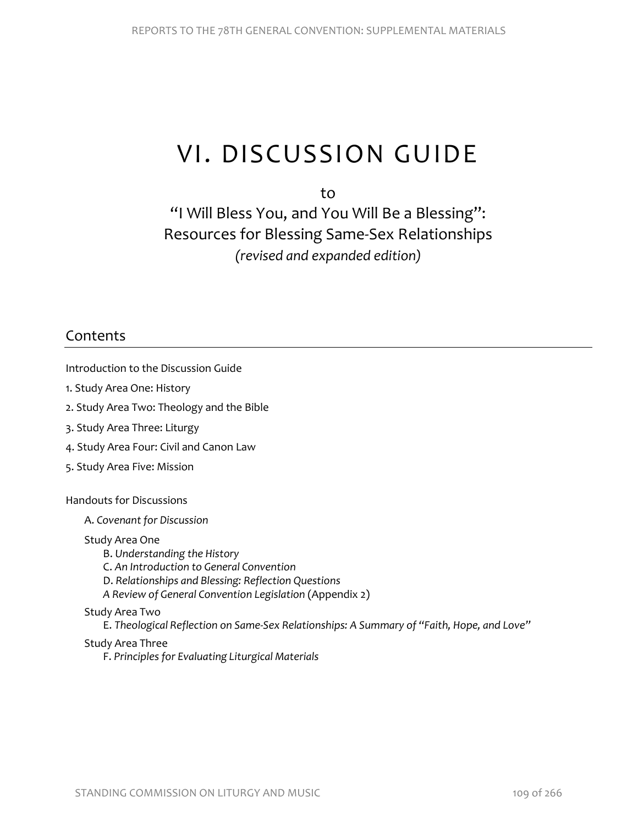# VI. DISCUSSION GUIDE

to

"I Will Bless You, and You Will Be a Blessing": Resources for Blessing Same-Sex Relationships *(revised and expanded edition)*

# Contents

Introduction to the Discussion Guide

- 1. Study Area One: History
- 2. Study Area Two: Theology and the Bible
- 3. Study Area Three: Liturgy
- 4. Study Area Four: Civil and Canon Law
- 5. Study Area Five: Mission

#### Handouts for Discussions

A. *Covenant for Discussion*

#### Study Area One

- B. *Understanding the History*
- C. *An Introduction to General Convention*
- D. *Relationships and Blessing: Reflection Questions*
- *A Review of General Convention Legislation* (Appendix 2)

#### Study Area Two

E. *Theological Reflection on Same-Sex Relationships: A Summary of "Faith, Hope, and Love"*

#### Study Area Three

F. *Principles for Evaluating Liturgical Materials*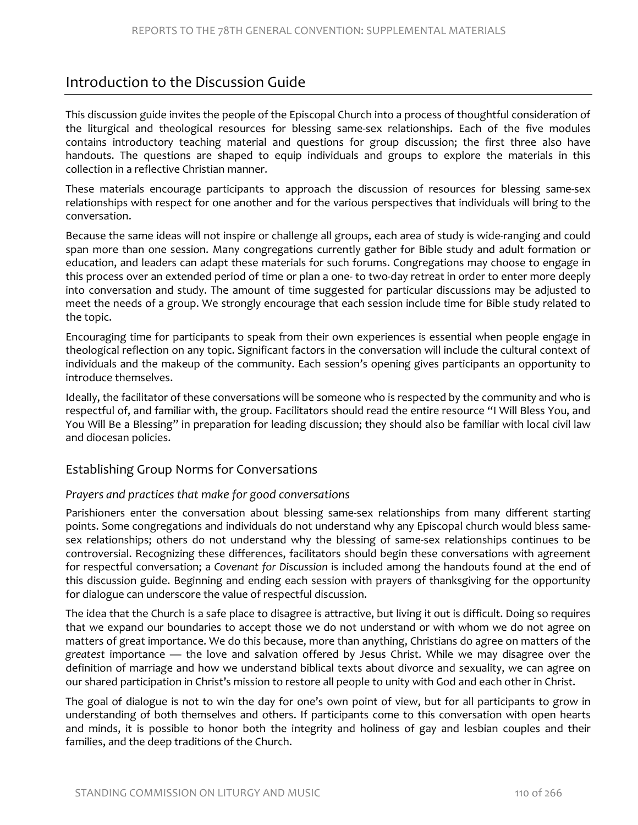# Introduction to the Discussion Guide

This discussion guide invites the people of the Episcopal Church into a process of thoughtful consideration of the liturgical and theological resources for blessing same-sex relationships. Each of the five modules contains introductory teaching material and questions for group discussion; the first three also have handouts. The questions are shaped to equip individuals and groups to explore the materials in this collection in a reflective Christian manner.

These materials encourage participants to approach the discussion of resources for blessing same-sex relationships with respect for one another and for the various perspectives that individuals will bring to the conversation.

Because the same ideas will not inspire or challenge all groups, each area of study is wide-ranging and could span more than one session. Many congregations currently gather for Bible study and adult formation or education, and leaders can adapt these materials for such forums. Congregations may choose to engage in this process over an extended period of time or plan a one- to two-day retreat in order to enter more deeply into conversation and study. The amount of time suggested for particular discussions may be adjusted to meet the needs of a group. We strongly encourage that each session include time for Bible study related to the topic.

Encouraging time for participants to speak from their own experiences is essential when people engage in theological reflection on any topic. Significant factors in the conversation will include the cultural context of individuals and the makeup of the community. Each session's opening gives participants an opportunity to introduce themselves.

Ideally, the facilitator of these conversations will be someone who is respected by the community and who is respectful of, and familiar with, the group. Facilitators should read the entire resource "I Will Bless You, and You Will Be a Blessing" in preparation for leading discussion; they should also be familiar with local civil law and diocesan policies.

# Establishing Group Norms for Conversations

#### *Prayers and practices that make for good conversations*

Parishioners enter the conversation about blessing same-sex relationships from many different starting points. Some congregations and individuals do not understand why any Episcopal church would bless samesex relationships; others do not understand why the blessing of same-sex relationships continues to be controversial. Recognizing these differences, facilitators should begin these conversations with agreement for respectful conversation; a *Covenant for Discussion* is included among the handouts found at the end of this discussion guide. Beginning and ending each session with prayers of thanksgiving for the opportunity for dialogue can underscore the value of respectful discussion.

The idea that the Church is a safe place to disagree is attractive, but living it out is difficult. Doing so requires that we expand our boundaries to accept those we do not understand or with whom we do not agree on matters of great importance. We do this because, more than anything, Christians do agree on matters of the *greatest* importance — the love and salvation offered by Jesus Christ. While we may disagree over the definition of marriage and how we understand biblical texts about divorce and sexuality, we can agree on our shared participation in Christ's mission to restore all people to unity with God and each other in Christ.

The goal of dialogue is not to win the day for one's own point of view, but for all participants to grow in understanding of both themselves and others. If participants come to this conversation with open hearts and minds, it is possible to honor both the integrity and holiness of gay and lesbian couples and their families, and the deep traditions of the Church.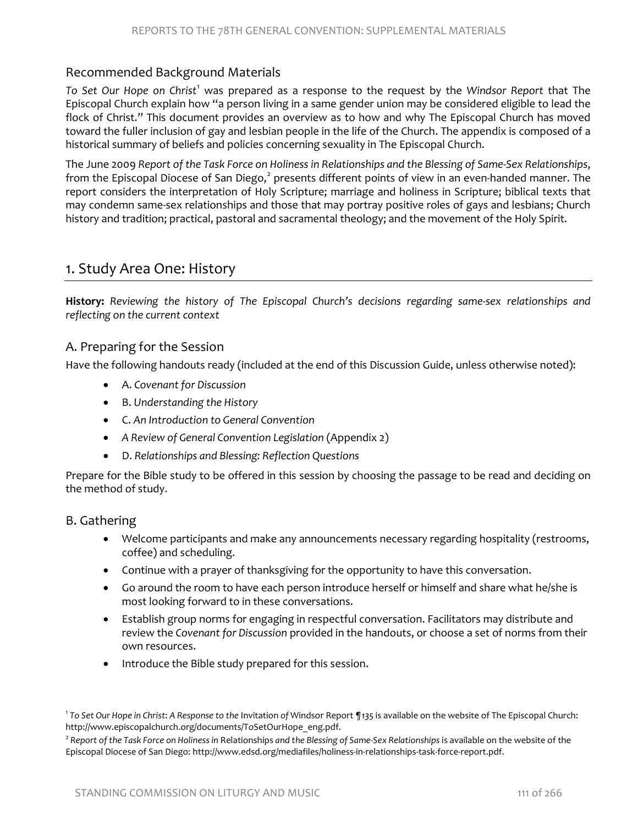# Recommended Background Materials

*To Set Our Hope on Christ*[1](#page-2-0) was prepared as a response to the request by the *Windsor Report* that The Episcopal Church explain how "a person living in a same gender union may be considered eligible to lead the flock of Christ." This document provides an overview as to how and why The Episcopal Church has moved toward the fuller inclusion of gay and lesbian people in the life of the Church. The appendix is composed of a historical summary of beliefs and policies concerning sexuality in The Episcopal Church.

The June 2009 *Report of the Task Force on Holiness in Relationships and the Blessing of Same-Sex Relationships*, from the Episcopal Diocese of San Diego,<sup>[2](#page-2-1)</sup> presents different points of view in an even-handed manner. The report considers the interpretation of Holy Scripture; marriage and holiness in Scripture; biblical texts that may condemn same-sex relationships and those that may portray positive roles of gays and lesbians; Church history and tradition; practical, pastoral and sacramental theology; and the movement of the Holy Spirit.

# 1. Study Area One: History

**History:** *Reviewing the history of The Episcopal Church's decisions regarding same-sex relationships and reflecting on the current context*

### A. Preparing for the Session

Have the following handouts ready (included at the end of this Discussion Guide, unless otherwise noted):

- A. *Covenant for Discussion*
- B. *Understanding the History*
- C. *An Introduction to General Convention*
- *A Review of General Convention Legislation* (Appendix 2)
- D. *Relationships and Blessing: Reflection Questions*

Prepare for the Bible study to be offered in this session by choosing the passage to be read and deciding on the method of study.

#### B. Gathering

- Welcome participants and make any announcements necessary regarding hospitality (restrooms, coffee) and scheduling.
- Continue with a prayer of thanksgiving for the opportunity to have this conversation.
- Go around the room to have each person introduce herself or himself and share what he/she is most looking forward to in these conversations.
- Establish group norms for engaging in respectful conversation. Facilitators may distribute and review the *Covenant for Discussion* provided in the handouts, or choose a set of norms from their own resources.
- Introduce the Bible study prepared for this session.

<span id="page-2-0"></span><sup>1</sup> *To Set Our Hope in Christ*: *A Response to the* Invitation *of* Windsor Report *¶135* is available on the website of The Episcopal Church: [http://www.episcopalchurch.org/documents/ToSetOurHope\\_eng.pdf.](http://www.episcopalchurch.org/documents/ToSetOurHope_eng.pdf)<br><sup>2</sup> Report of the Task Force on Holiness in Relationships and the Blessing of Same-Sex Relationships is available on the website of the

<span id="page-2-1"></span>Episcopal Diocese of San Diego: [http://www.edsd.org/mediafiles/holiness-in-relationships-task-force-report.pdf.](http://www.edsd.org/mediafiles/holiness-in-relationships-task-force-report.pdf)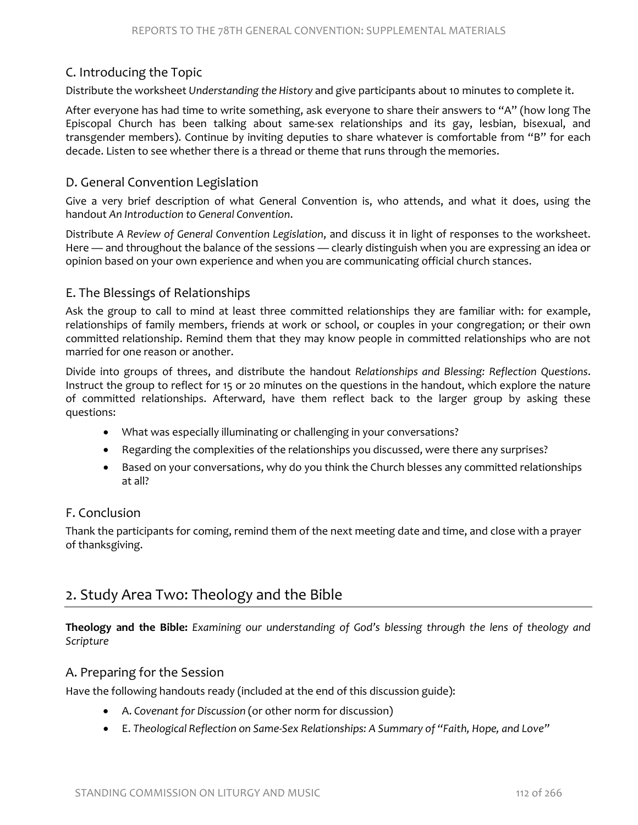# C. Introducing the Topic

Distribute the worksheet *Understanding the History* and give participants about 10 minutes to complete it.

After everyone has had time to write something, ask everyone to share their answers to "A" (how long The Episcopal Church has been talking about same-sex relationships and its gay, lesbian, bisexual, and transgender members). Continue by inviting deputies to share whatever is comfortable from "B" for each decade. Listen to see whether there is a thread or theme that runs through the memories.

### D. General Convention Legislation

Give a very brief description of what General Convention is, who attends, and what it does, using the handout *An Introduction to General Convention*.

Distribute *A Review of General Convention Legislation*, and discuss it in light of responses to the worksheet. Here — and throughout the balance of the sessions — clearly distinguish when you are expressing an idea or opinion based on your own experience and when you are communicating official church stances.

### E. The Blessings of Relationships

Ask the group to call to mind at least three committed relationships they are familiar with: for example, relationships of family members, friends at work or school, or couples in your congregation; or their own committed relationship. Remind them that they may know people in committed relationships who are not married for one reason or another.

Divide into groups of threes, and distribute the handout *Relationships and Blessing: Reflection Questions*. Instruct the group to reflect for 15 or 20 minutes on the questions in the handout, which explore the nature of committed relationships. Afterward, have them reflect back to the larger group by asking these questions:

- What was especially illuminating or challenging in your conversations?
- Regarding the complexities of the relationships you discussed, were there any surprises?
- Based on your conversations, why do you think the Church blesses any committed relationships at all?

# F. Conclusion

Thank the participants for coming, remind them of the next meeting date and time, and close with a prayer of thanksgiving.

# 2. Study Area Two: Theology and the Bible

**Theology and the Bible:** *Examining our understanding of God's blessing through the lens of theology and Scripture*

#### A. Preparing for the Session

Have the following handouts ready (included at the end of this discussion guide):

- A. *Covenant for Discussion* (or other norm for discussion)
- E. *Theological Reflection on Same-Sex Relationships: A Summary of "Faith, Hope, and Love"*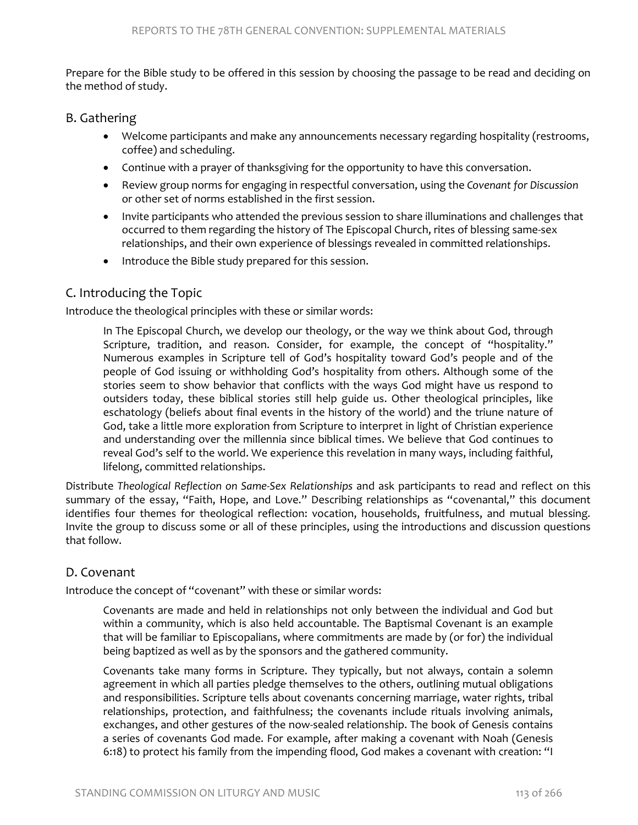Prepare for the Bible study to be offered in this session by choosing the passage to be read and deciding on the method of study.

# B. Gathering

- Welcome participants and make any announcements necessary regarding hospitality (restrooms, coffee) and scheduling.
- Continue with a prayer of thanksgiving for the opportunity to have this conversation.
- Review group norms for engaging in respectful conversation, using the *Covenant for Discussion* or other set of norms established in the first session.
- Invite participants who attended the previous session to share illuminations and challenges that occurred to them regarding the history of The Episcopal Church, rites of blessing same-sex relationships, and their own experience of blessings revealed in committed relationships.
- Introduce the Bible study prepared for this session.

# C. Introducing the Topic

Introduce the theological principles with these or similar words:

In The Episcopal Church, we develop our theology, or the way we think about God, through Scripture, tradition, and reason. Consider, for example, the concept of "hospitality." Numerous examples in Scripture tell of God's hospitality toward God's people and of the people of God issuing or withholding God's hospitality from others. Although some of the stories seem to show behavior that conflicts with the ways God might have us respond to outsiders today, these biblical stories still help guide us. Other theological principles, like eschatology (beliefs about final events in the history of the world) and the triune nature of God, take a little more exploration from Scripture to interpret in light of Christian experience and understanding over the millennia since biblical times. We believe that God continues to reveal God's self to the world. We experience this revelation in many ways, including faithful, lifelong, committed relationships.

Distribute *Theological Reflection on Same-Sex Relationships* and ask participants to read and reflect on this summary of the essay, "Faith, Hope, and Love." Describing relationships as "covenantal," this document identifies four themes for theological reflection: vocation, households, fruitfulness, and mutual blessing*.* Invite the group to discuss some or all of these principles, using the introductions and discussion questions that follow.

# D. Covenant

Introduce the concept of "covenant" with these or similar words:

Covenants are made and held in relationships not only between the individual and God but within a community, which is also held accountable. The Baptismal Covenant is an example that will be familiar to Episcopalians, where commitments are made by (or for) the individual being baptized as well as by the sponsors and the gathered community.

Covenants take many forms in Scripture. They typically, but not always, contain a solemn agreement in which all parties pledge themselves to the others, outlining mutual obligations and responsibilities. Scripture tells about covenants concerning marriage, water rights, tribal relationships, protection, and faithfulness; the covenants include rituals involving animals, exchanges, and other gestures of the now-sealed relationship. The book of Genesis contains a series of covenants God made. For example, after making a covenant with Noah (Genesis 6:18) to protect his family from the impending flood, God makes a covenant with creation: "I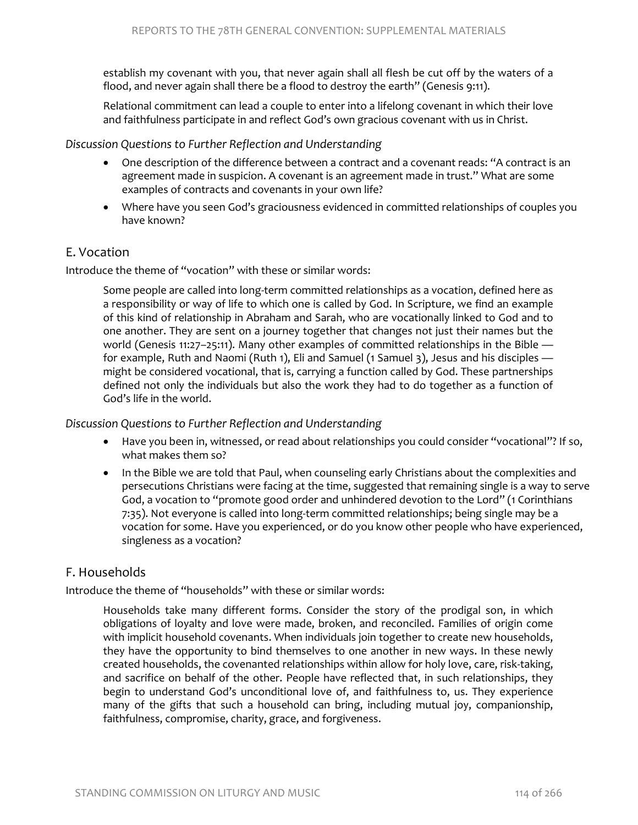establish my covenant with you, that never again shall all flesh be cut off by the waters of a flood, and never again shall there be a flood to destroy the earth" (Genesis 9:11).

Relational commitment can lead a couple to enter into a lifelong covenant in which their love and faithfulness participate in and reflect God's own gracious covenant with us in Christ.

#### *Discussion Questions to Further Reflection and Understanding*

- One description of the difference between a contract and a covenant reads: "A contract is an agreement made in suspicion. A covenant is an agreement made in trust." What are some examples of contracts and covenants in your own life?
- Where have you seen God's graciousness evidenced in committed relationships of couples you have known?

# E. Vocation

Introduce the theme of "vocation" with these or similar words:

Some people are called into long-term committed relationships as a vocation, defined here as a responsibility or way of life to which one is called by God. In Scripture, we find an example of this kind of relationship in Abraham and Sarah, who are vocationally linked to God and to one another. They are sent on a journey together that changes not just their names but the world (Genesis 11:27-25:11). Many other examples of committed relationships in the Bible for example, Ruth and Naomi (Ruth 1), Eli and Samuel (1 Samuel 3), Jesus and his disciples might be considered vocational, that is, carrying a function called by God. These partnerships defined not only the individuals but also the work they had to do together as a function of God's life in the world.

#### *Discussion Questions to Further Reflection and Understanding*

- Have you been in, witnessed, or read about relationships you could consider "vocational"? If so, what makes them so?
- In the Bible we are told that Paul, when counseling early Christians about the complexities and persecutions Christians were facing at the time, suggested that remaining single is a way to serve God, a vocation to "promote good order and unhindered devotion to the Lord" (1 Corinthians 7:35). Not everyone is called into long-term committed relationships; being single may be a vocation for some. Have you experienced, or do you know other people who have experienced, singleness as a vocation?

# F. Households

Introduce the theme of "households" with these or similar words:

Households take many different forms. Consider the story of the prodigal son, in which obligations of loyalty and love were made, broken, and reconciled. Families of origin come with implicit household covenants. When individuals join together to create new households, they have the opportunity to bind themselves to one another in new ways. In these newly created households, the covenanted relationships within allow for holy love, care, risk-taking, and sacrifice on behalf of the other. People have reflected that, in such relationships, they begin to understand God's unconditional love of, and faithfulness to, us. They experience many of the gifts that such a household can bring, including mutual joy, companionship, faithfulness, compromise, charity, grace, and forgiveness.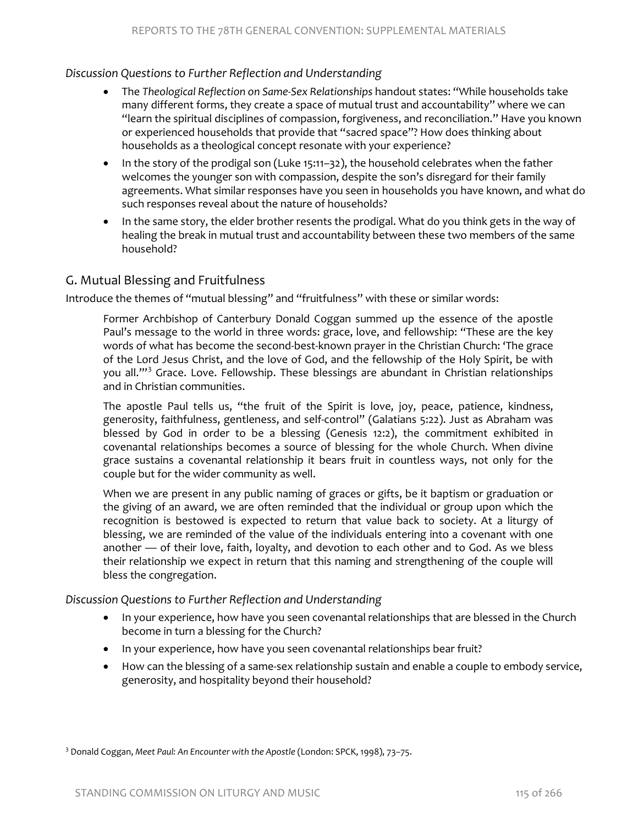#### *Discussion Questions to Further Reflection and Understanding*

- The *Theological Reflection on Same-Sex Relationships* handout states: "While households take many different forms, they create a space of mutual trust and accountability" where we can "learn the spiritual disciplines of compassion, forgiveness, and reconciliation." Have you known or experienced households that provide that "sacred space"? How does thinking about households as a theological concept resonate with your experience?
- In the story of the prodigal son (Luke 15:11–32), the household celebrates when the father welcomes the younger son with compassion, despite the son's disregard for their family agreements. What similar responses have you seen in households you have known, and what do such responses reveal about the nature of households?
- In the same story, the elder brother resents the prodigal. What do you think gets in the way of healing the break in mutual trust and accountability between these two members of the same household?

# G. Mutual Blessing and Fruitfulness

Introduce the themes of "mutual blessing" and "fruitfulness" with these or similar words:

Former Archbishop of Canterbury Donald Coggan summed up the essence of the apostle Paul's message to the world in three words: grace, love, and fellowship: "These are the key words of what has become the second-best-known prayer in the Christian Church: 'The grace of the Lord Jesus Christ, and the love of God, and the fellowship of the Holy Spirit, be with you all."<sup>[3](#page-6-0)</sup> Grace. Love. Fellowship. These blessings are abundant in Christian relationships and in Christian communities.

The apostle Paul tells us, "the fruit of the Spirit is love, joy, peace, patience, kindness, generosity, faithfulness, gentleness, and self-control" (Galatians 5:22). Just as Abraham was blessed by God in order to be a blessing (Genesis 12:2), the commitment exhibited in covenantal relationships becomes a source of blessing for the whole Church. When divine grace sustains a covenantal relationship it bears fruit in countless ways, not only for the couple but for the wider community as well.

When we are present in any public naming of graces or gifts, be it baptism or graduation or the giving of an award, we are often reminded that the individual or group upon which the recognition is bestowed is expected to return that value back to society. At a liturgy of blessing, we are reminded of the value of the individuals entering into a covenant with one another — of their love, faith, loyalty, and devotion to each other and to God. As we bless their relationship we expect in return that this naming and strengthening of the couple will bless the congregation.

#### *Discussion Questions to Further Reflection and Understanding*

- In your experience, how have you seen covenantal relationships that are blessed in the Church become in turn a blessing for the Church?
- In your experience, how have you seen covenantal relationships bear fruit?
- How can the blessing of a same-sex relationship sustain and enable a couple to embody service, generosity, and hospitality beyond their household?

<span id="page-6-0"></span><sup>3</sup> Donald Coggan, *Meet Paul: An Encounter with the Apostle* (London: SPCK, 1998), 73–75.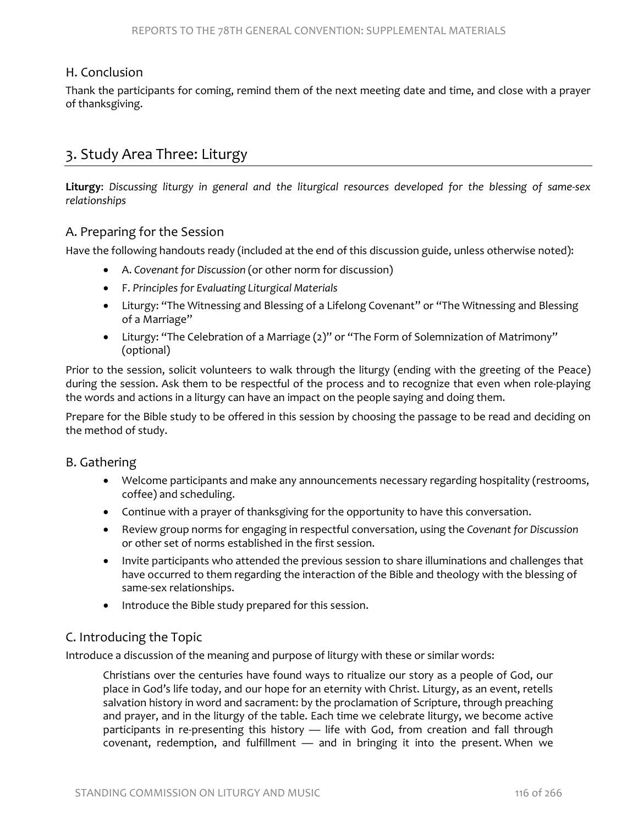### H. Conclusion

Thank the participants for coming, remind them of the next meeting date and time, and close with a prayer of thanksgiving.

# 3. Study Area Three: Liturgy

**Liturgy**: *Discussing liturgy in general and the liturgical resources developed for the blessing of same-sex relationships*

#### A. Preparing for the Session

Have the following handouts ready (included at the end of this discussion guide, unless otherwise noted):

- A. *Covenant for Discussion* (or other norm for discussion)
- F. *Principles for Evaluating Liturgical Materials*
- Liturgy: "The Witnessing and Blessing of a Lifelong Covenant" or "The Witnessing and Blessing of a Marriage"
- Liturgy: "The Celebration of a Marriage (2)" or "The Form of Solemnization of Matrimony" (optional)

Prior to the session, solicit volunteers to walk through the liturgy (ending with the greeting of the Peace) during the session. Ask them to be respectful of the process and to recognize that even when role-playing the words and actions in a liturgy can have an impact on the people saying and doing them.

Prepare for the Bible study to be offered in this session by choosing the passage to be read and deciding on the method of study.

#### B. Gathering

- Welcome participants and make any announcements necessary regarding hospitality (restrooms, coffee) and scheduling.
- Continue with a prayer of thanksgiving for the opportunity to have this conversation.
- Review group norms for engaging in respectful conversation, using the *Covenant for Discussion* or other set of norms established in the first session.
- Invite participants who attended the previous session to share illuminations and challenges that have occurred to them regarding the interaction of the Bible and theology with the blessing of same-sex relationships.
- Introduce the Bible study prepared for this session.

# C. Introducing the Topic

Introduce a discussion of the meaning and purpose of liturgy with these or similar words:

Christians over the centuries have found ways to ritualize our story as a people of God, our place in God's life today, and our hope for an eternity with Christ. Liturgy, as an event, retells salvation history in word and sacrament: by the proclamation of Scripture, through preaching and prayer, and in the liturgy of the table. Each time we celebrate liturgy, we become active participants in re-presenting this history — life with God, from creation and fall through covenant, redemption, and fulfillment — and in bringing it into the present. When we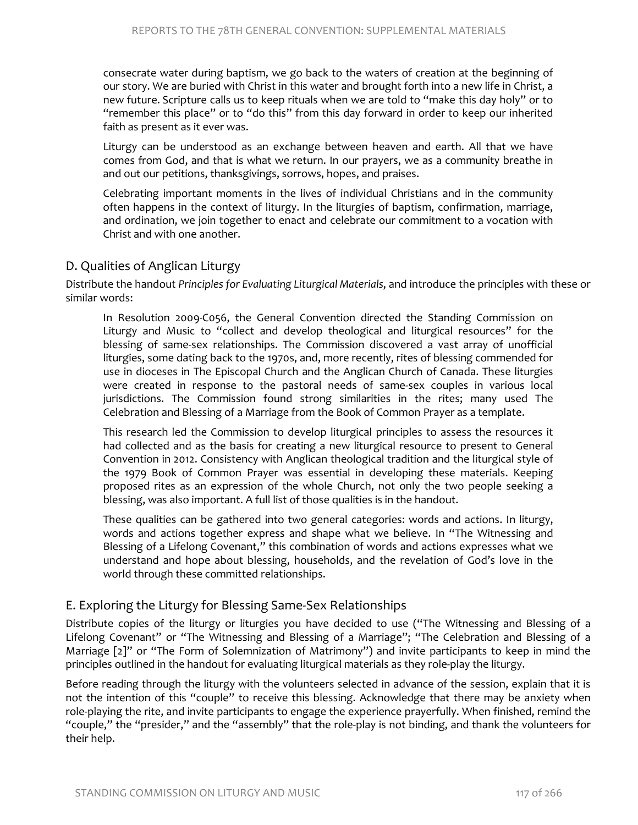consecrate water during baptism, we go back to the waters of creation at the beginning of our story. We are buried with Christ in this water and brought forth into a new life in Christ, a new future. Scripture calls us to keep rituals when we are told to "make this day holy" or to "remember this place" or to "do this" from this day forward in order to keep our inherited faith as present as it ever was.

Liturgy can be understood as an exchange between heaven and earth. All that we have comes from God, and that is what we return. In our prayers, we as a community breathe in and out our petitions, thanksgivings, sorrows, hopes, and praises.

Celebrating important moments in the lives of individual Christians and in the community often happens in the context of liturgy. In the liturgies of baptism, confirmation, marriage, and ordination, we join together to enact and celebrate our commitment to a vocation with Christ and with one another.

### D. Qualities of Anglican Liturgy

Distribute the handout *Principles for Evaluating Liturgical Materials*, and introduce the principles with these or similar words:

In Resolution 2009-C056, the General Convention directed the Standing Commission on Liturgy and Music to "collect and develop theological and liturgical resources" for the blessing of same-sex relationships. The Commission discovered a vast array of unofficial liturgies, some dating back to the 1970s, and, more recently, rites of blessing commended for use in dioceses in The Episcopal Church and the Anglican Church of Canada. These liturgies were created in response to the pastoral needs of same-sex couples in various local jurisdictions. The Commission found strong similarities in the rites; many used The Celebration and Blessing of a Marriage from the Book of Common Prayer as a template.

This research led the Commission to develop liturgical principles to assess the resources it had collected and as the basis for creating a new liturgical resource to present to General Convention in 2012. Consistency with Anglican theological tradition and the liturgical style of the 1979 Book of Common Prayer was essential in developing these materials. Keeping proposed rites as an expression of the whole Church, not only the two people seeking a blessing, was also important. A full list of those qualities is in the handout.

These qualities can be gathered into two general categories: words and actions. In liturgy, words and actions together express and shape what we believe. In "The Witnessing and Blessing of a Lifelong Covenant," this combination of words and actions expresses what we understand and hope about blessing, households, and the revelation of God's love in the world through these committed relationships.

# E. Exploring the Liturgy for Blessing Same-Sex Relationships

Distribute copies of the liturgy or liturgies you have decided to use ("The Witnessing and Blessing of a Lifelong Covenant" or "The Witnessing and Blessing of a Marriage"; "The Celebration and Blessing of a Marriage [2]" or "The Form of Solemnization of Matrimony") and invite participants to keep in mind the principles outlined in the handout for evaluating liturgical materials as they role-play the liturgy.

Before reading through the liturgy with the volunteers selected in advance of the session, explain that it is not the intention of this "couple" to receive this blessing. Acknowledge that there may be anxiety when role-playing the rite, and invite participants to engage the experience prayerfully. When finished, remind the "couple," the "presider," and the "assembly" that the role-play is not binding, and thank the volunteers for their help.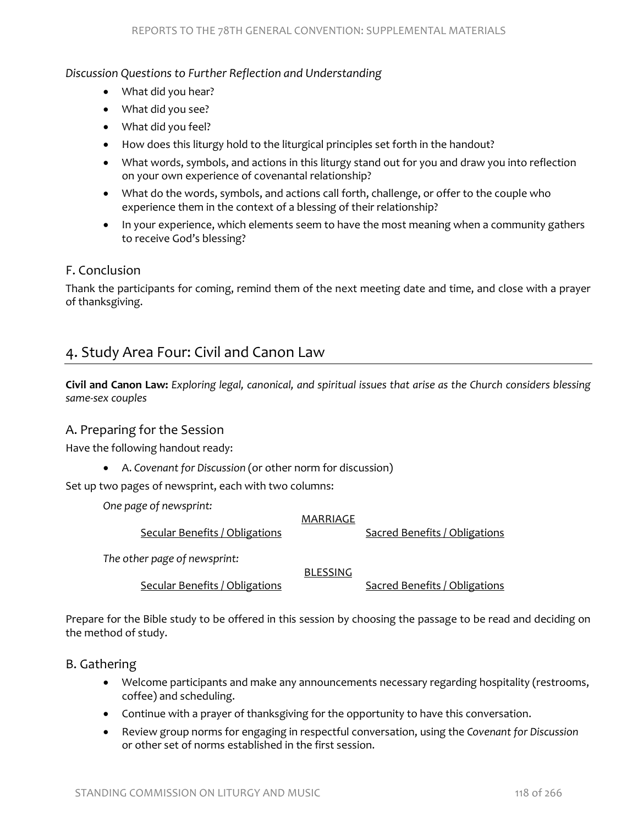#### *Discussion Questions to Further Reflection and Understanding*

- What did you hear?
- What did you see?
- What did you feel?
- How does this liturgy hold to the liturgical principles set forth in the handout?
- What words, symbols, and actions in this liturgy stand out for you and draw you into reflection on your own experience of covenantal relationship?
- What do the words, symbols, and actions call forth, challenge, or offer to the couple who experience them in the context of a blessing of their relationship?
- In your experience, which elements seem to have the most meaning when a community gathers to receive God's blessing?

# F. Conclusion

Thank the participants for coming, remind them of the next meeting date and time, and close with a prayer of thanksgiving.

# 4. Study Area Four: Civil and Canon Law

**Civil and Canon Law:** *Exploring legal, canonical, and spiritual issues that arise as the Church considers blessing same-sex couples*

#### A. Preparing for the Session

Have the following handout ready:

• A. *Covenant for Discussion* (or other norm for discussion)

Set up two pages of newsprint, each with two columns:

*One page of newsprint:*

#### MARRIAGE

Secular Benefits / Obligations Sacred Benefits / Obligations

*The other page of newsprint:*

BLESSING

Secular Benefits / Obligations Sacred Benefits / Obligations

Prepare for the Bible study to be offered in this session by choosing the passage to be read and deciding on the method of study.

B. Gathering

- Welcome participants and make any announcements necessary regarding hospitality (restrooms, coffee) and scheduling.
- Continue with a prayer of thanksgiving for the opportunity to have this conversation.
- Review group norms for engaging in respectful conversation, using the *Covenant for Discussion* or other set of norms established in the first session.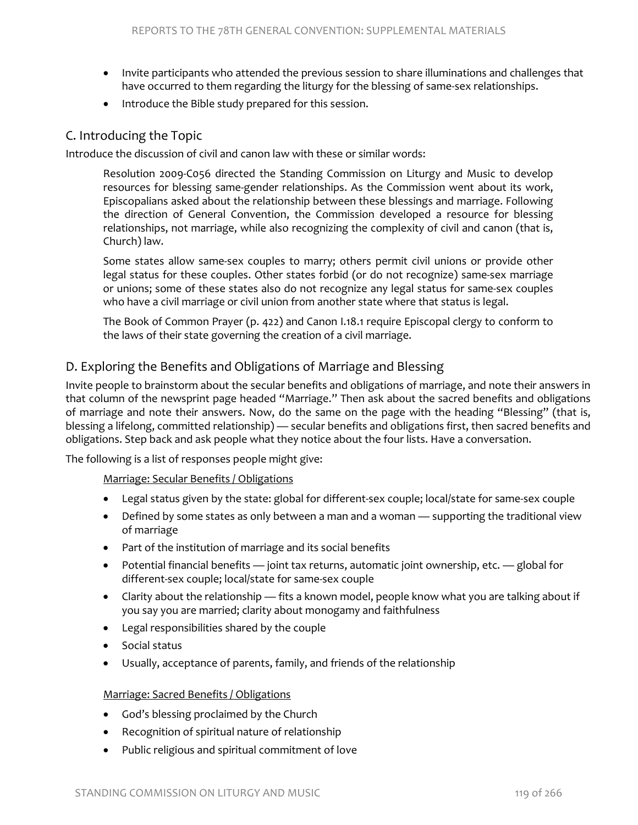- Invite participants who attended the previous session to share illuminations and challenges that have occurred to them regarding the liturgy for the blessing of same-sex relationships.
- Introduce the Bible study prepared for this session.

### C. Introducing the Topic

Introduce the discussion of civil and canon law with these or similar words:

Resolution 2009-C056 directed the Standing Commission on Liturgy and Music to develop resources for blessing same-gender relationships. As the Commission went about its work, Episcopalians asked about the relationship between these blessings and marriage. Following the direction of General Convention, the Commission developed a resource for blessing relationships, not marriage, while also recognizing the complexity of civil and canon (that is, Church) law.

Some states allow same-sex couples to marry; others permit civil unions or provide other legal status for these couples. Other states forbid (or do not recognize) same-sex marriage or unions; some of these states also do not recognize any legal status for same-sex couples who have a civil marriage or civil union from another state where that status is legal.

The Book of Common Prayer (p. 422) and Canon I.18.1 require Episcopal clergy to conform to the laws of their state governing the creation of a civil marriage.

# D. Exploring the Benefits and Obligations of Marriage and Blessing

Invite people to brainstorm about the secular benefits and obligations of marriage, and note their answers in that column of the newsprint page headed "Marriage." Then ask about the sacred benefits and obligations of marriage and note their answers. Now, do the same on the page with the heading "Blessing" (that is, blessing a lifelong, committed relationship) — secular benefits and obligations first, then sacred benefits and obligations. Step back and ask people what they notice about the four lists. Have a conversation.

The following is a list of responses people might give:

Marriage: Secular Benefits / Obligations

- Legal status given by the state: global for different-sex couple; local/state for same-sex couple
- Defined by some states as only between a man and a woman supporting the traditional view of marriage
- Part of the institution of marriage and its social benefits
- Potential financial benefits joint tax returns, automatic joint ownership, etc. global for different-sex couple; local/state for same-sex couple
- Clarity about the relationship fits a known model, people know what you are talking about if you say you are married; clarity about monogamy and faithfulness
- Legal responsibilities shared by the couple
- Social status
- Usually, acceptance of parents, family, and friends of the relationship

#### Marriage: Sacred Benefits / Obligations

- God's blessing proclaimed by the Church
- Recognition of spiritual nature of relationship
- Public religious and spiritual commitment of love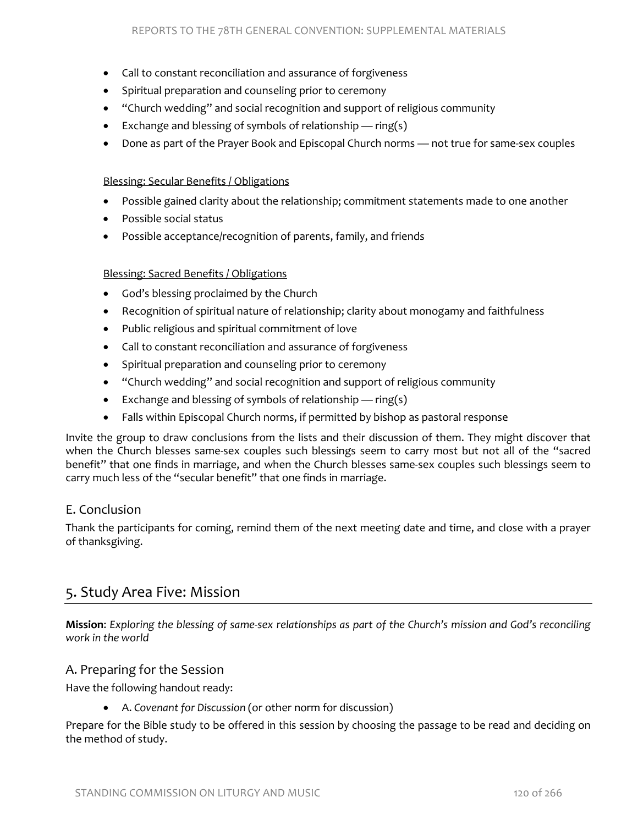- Call to constant reconciliation and assurance of forgiveness
- Spiritual preparation and counseling prior to ceremony
- "Church wedding" and social recognition and support of religious community
- Exchange and blessing of symbols of relationship  $-$  ring(s)
- Done as part of the Prayer Book and Episcopal Church norms not true for same-sex couples

#### Blessing: Secular Benefits / Obligations

- Possible gained clarity about the relationship; commitment statements made to one another
- Possible social status
- Possible acceptance/recognition of parents, family, and friends

#### Blessing: Sacred Benefits / Obligations

- God's blessing proclaimed by the Church
- Recognition of spiritual nature of relationship; clarity about monogamy and faithfulness
- Public religious and spiritual commitment of love
- Call to constant reconciliation and assurance of forgiveness
- Spiritual preparation and counseling prior to ceremony
- "Church wedding" and social recognition and support of religious community
- Exchange and blessing of symbols of relationship ring(s)
- Falls within Episcopal Church norms, if permitted by bishop as pastoral response

Invite the group to draw conclusions from the lists and their discussion of them. They might discover that when the Church blesses same-sex couples such blessings seem to carry most but not all of the "sacred benefit" that one finds in marriage, and when the Church blesses same-sex couples such blessings seem to carry much less of the "secular benefit" that one finds in marriage.

# E. Conclusion

Thank the participants for coming, remind them of the next meeting date and time, and close with a prayer of thanksgiving.

# 5. Study Area Five: Mission

**Mission**: *Exploring the blessing of same-sex relationships as part of the Church's mission and God's reconciling work in the world*

#### A. Preparing for the Session

Have the following handout ready:

• A. *Covenant for Discussion* (or other norm for discussion)

Prepare for the Bible study to be offered in this session by choosing the passage to be read and deciding on the method of study.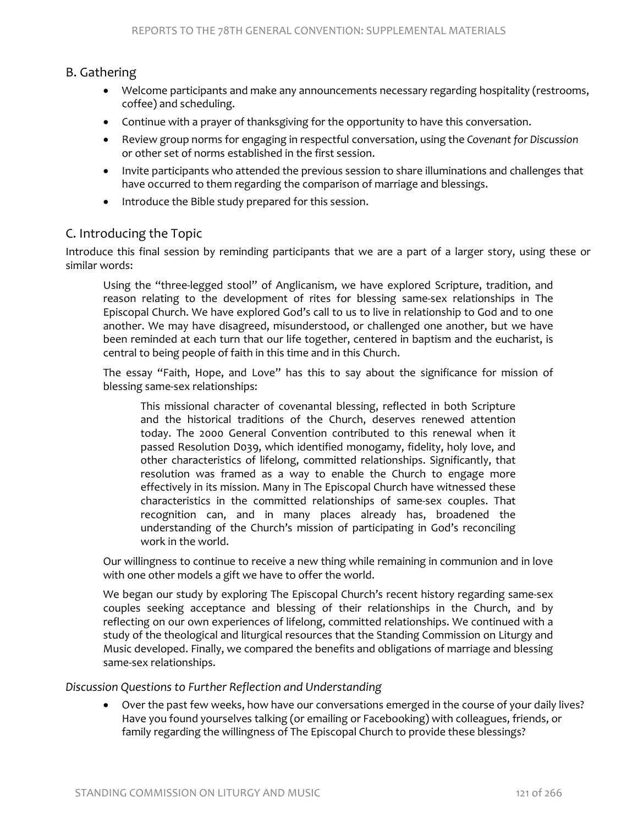# B. Gathering

- Welcome participants and make any announcements necessary regarding hospitality (restrooms, coffee) and scheduling.
- Continue with a prayer of thanksgiving for the opportunity to have this conversation.
- Review group norms for engaging in respectful conversation, using the *Covenant for Discussion* or other set of norms established in the first session.
- Invite participants who attended the previous session to share illuminations and challenges that have occurred to them regarding the comparison of marriage and blessings.
- Introduce the Bible study prepared for this session.

### C. Introducing the Topic

Introduce this final session by reminding participants that we are a part of a larger story, using these or similar words:

Using the "three-legged stool" of Anglicanism, we have explored Scripture, tradition, and reason relating to the development of rites for blessing same-sex relationships in The Episcopal Church. We have explored God's call to us to live in relationship to God and to one another. We may have disagreed, misunderstood, or challenged one another, but we have been reminded at each turn that our life together, centered in baptism and the eucharist, is central to being people of faith in this time and in this Church.

The essay "Faith, Hope, and Love" has this to say about the significance for mission of blessing same-sex relationships:

This missional character of covenantal blessing, reflected in both Scripture and the historical traditions of the Church, deserves renewed attention today. The 2000 General Convention contributed to this renewal when it passed Resolution D039, which identified monogamy, fidelity, holy love, and other characteristics of lifelong, committed relationships. Significantly, that resolution was framed as a way to enable the Church to engage more effectively in its mission. Many in The Episcopal Church have witnessed these characteristics in the committed relationships of same-sex couples. That recognition can, and in many places already has, broadened the understanding of the Church's mission of participating in God's reconciling work in the world.

Our willingness to continue to receive a new thing while remaining in communion and in love with one other models a gift we have to offer the world.

We began our study by exploring The Episcopal Church's recent history regarding same-sex couples seeking acceptance and blessing of their relationships in the Church, and by reflecting on our own experiences of lifelong, committed relationships. We continued with a study of the theological and liturgical resources that the Standing Commission on Liturgy and Music developed. Finally, we compared the benefits and obligations of marriage and blessing same-sex relationships.

*Discussion Questions to Further Reflection and Understanding*

• Over the past few weeks, how have our conversations emerged in the course of your daily lives? Have you found yourselves talking (or emailing or Facebooking) with colleagues, friends, or family regarding the willingness of The Episcopal Church to provide these blessings?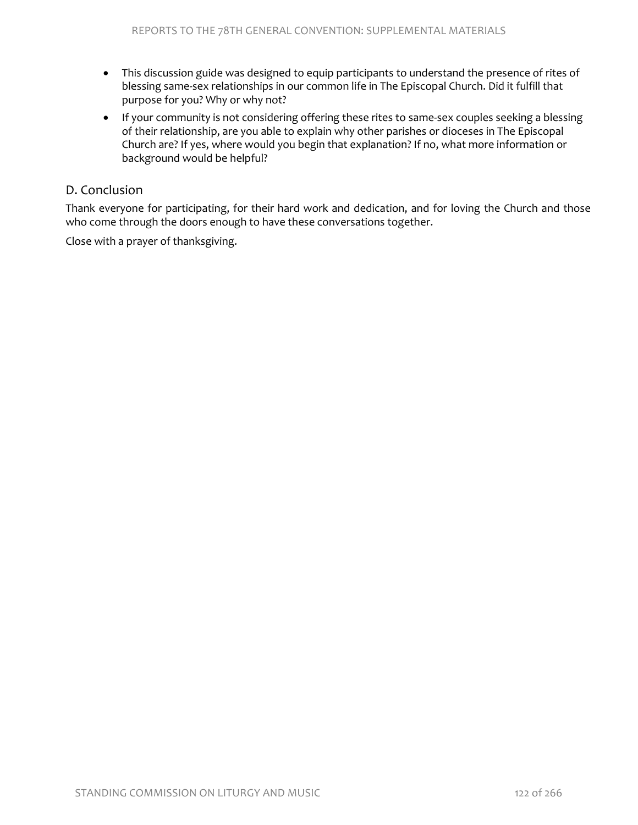- This discussion guide was designed to equip participants to understand the presence of rites of blessing same-sex relationships in our common life in The Episcopal Church. Did it fulfill that purpose for you? Why or why not?
- If your community is not considering offering these rites to same-sex couples seeking a blessing of their relationship, are you able to explain why other parishes or dioceses in The Episcopal Church are? If yes, where would you begin that explanation? If no, what more information or background would be helpful?

# D. Conclusion

Thank everyone for participating, for their hard work and dedication, and for loving the Church and those who come through the doors enough to have these conversations together.

Close with a prayer of thanksgiving.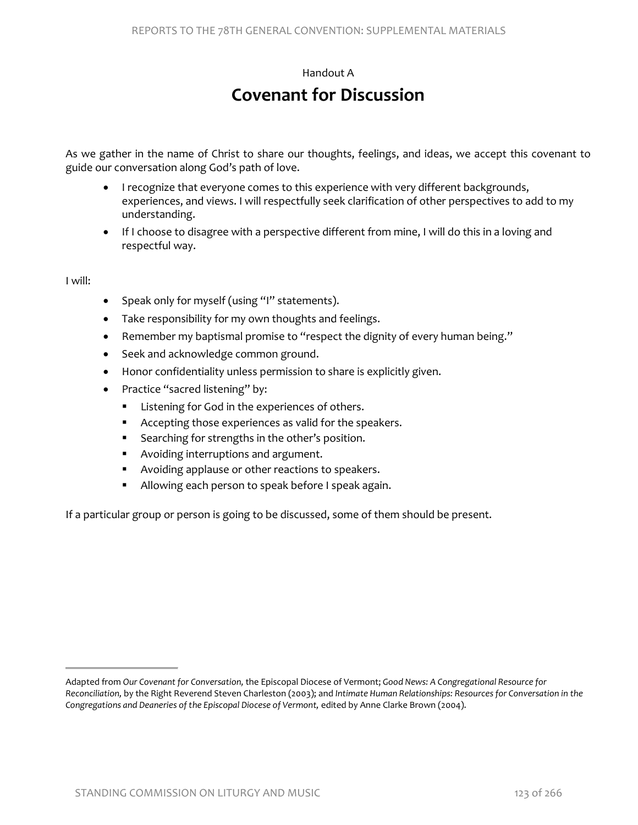# Handout A

# **Covenant for Discussion**

As we gather in the name of Christ to share our thoughts, feelings, and ideas, we accept this covenant to guide our conversation along God's path of love.

- I recognize that everyone comes to this experience with very different backgrounds, experiences, and views. I will respectfully seek clarification of other perspectives to add to my understanding.
- If I choose to disagree with a perspective different from mine, I will do this in a loving and respectful way.

I will:

- Speak only for myself (using "I" statements).
- Take responsibility for my own thoughts and feelings.
- Remember my baptismal promise to "respect the dignity of every human being."
- Seek and acknowledge common ground.
- Honor confidentiality unless permission to share is explicitly given.
- Practice "sacred listening" by:
	- Listening for God in the experiences of others.
	- Accepting those experiences as valid for the speakers.
	- Searching for strengths in the other's position.
	- **Avoiding interruptions and argument.**
	- **Avoiding applause or other reactions to speakers.**
	- **Allowing each person to speak before I speak again.**

If a particular group or person is going to be discussed, some of them should be present.

Adapted from *Our Covenant for Conversation,* the Episcopal Diocese of Vermont; *Good News: A Congregational Resource for Reconciliation,* by the Right Reverend Steven Charleston (2003); and *Intimate Human Relationships: Resources for Conversation in the Congregations and Deaneries of the Episcopal Diocese of Vermont,* edited by Anne Clarke Brown (2004).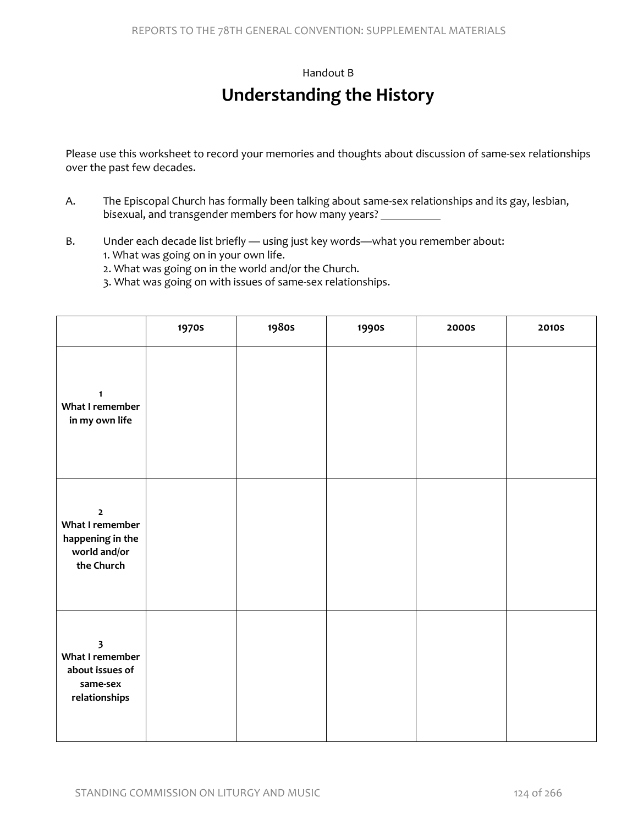#### Handout B

# **Understanding the History**

Please use this worksheet to record your memories and thoughts about discussion of same-sex relationships over the past few decades.

- A. The Episcopal Church has formally been talking about same-sex relationships and its gay, lesbian, bisexual, and transgender members for how many years?
- B. Under each decade list briefly using just key words—what you remember about: 1. What was going on in your own life.
	- 2. What was going on in the world and/or the Church.
	- 3. What was going on with issues of same-sex relationships.

|                                                                                            | <b>1970s</b> | <b>1980s</b> | 1990s | <b>2000S</b> | <b>2010S</b> |
|--------------------------------------------------------------------------------------------|--------------|--------------|-------|--------------|--------------|
| $\mathbf{1}$<br>What I remember<br>in my own life                                          |              |              |       |              |              |
| $\mathbf 2$<br>What I remember<br>happening in the<br>world and/or<br>the Church           |              |              |       |              |              |
| $\overline{\mathbf{3}}$<br>What I remember<br>about issues of<br>same-sex<br>relationships |              |              |       |              |              |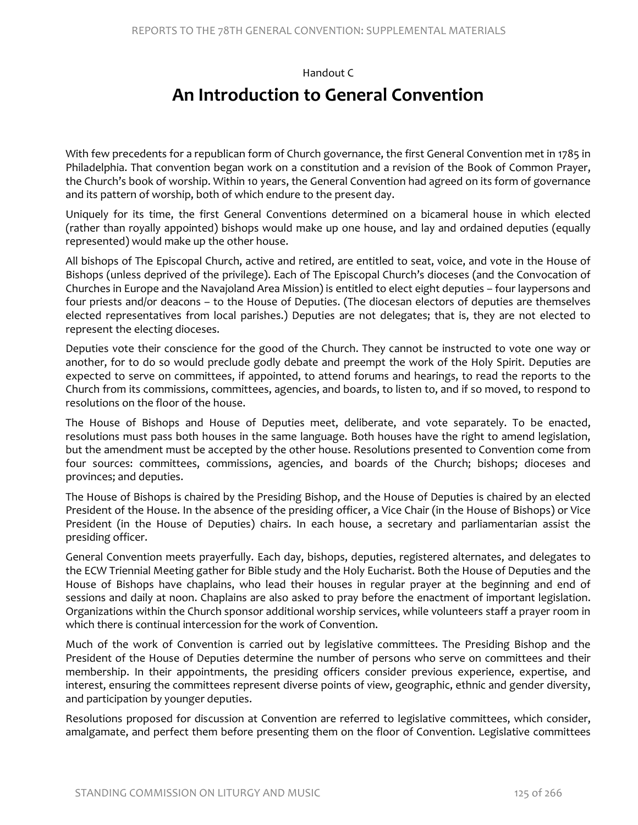Handout C

# **An Introduction to General Convention**

With few precedents for a republican form of Church governance, the first General Convention met in 1785 in Philadelphia. That convention began work on a constitution and a revision of the Book of Common Prayer, the Church's book of worship. Within 10 years, the General Convention had agreed on its form of governance and its pattern of worship, both of which endure to the present day.

Uniquely for its time, the first General Conventions determined on a bicameral house in which elected (rather than royally appointed) bishops would make up one house, and lay and ordained deputies (equally represented) would make up the other house.

All bishops of The Episcopal Church, active and retired, are entitled to seat, voice, and vote in the House of Bishops (unless deprived of the privilege). Each of The Episcopal Church's dioceses (and the Convocation of Churches in Europe and the Navajoland Area Mission) is entitled to elect eight deputies – four laypersons and four priests and/or deacons – to the House of Deputies. (The diocesan electors of deputies are themselves elected representatives from local parishes.) Deputies are not delegates; that is, they are not elected to represent the electing dioceses.

Deputies vote their conscience for the good of the Church. They cannot be instructed to vote one way or another, for to do so would preclude godly debate and preempt the work of the Holy Spirit. Deputies are expected to serve on committees, if appointed, to attend forums and hearings, to read the reports to the Church from its commissions, committees, agencies, and boards, to listen to, and if so moved, to respond to resolutions on the floor of the house.

The House of Bishops and House of Deputies meet, deliberate, and vote separately. To be enacted, resolutions must pass both houses in the same language. Both houses have the right to amend legislation, but the amendment must be accepted by the other house. Resolutions presented to Convention come from four sources: committees, commissions, agencies, and boards of the Church; bishops; dioceses and provinces; and deputies.

The House of Bishops is chaired by the Presiding Bishop, and the House of Deputies is chaired by an elected President of the House. In the absence of the presiding officer, a Vice Chair (in the House of Bishops) or Vice President (in the House of Deputies) chairs. In each house, a secretary and parliamentarian assist the presiding officer.

General Convention meets prayerfully. Each day, bishops, deputies, registered alternates, and delegates to the ECW Triennial Meeting gather for Bible study and the Holy Eucharist. Both the House of Deputies and the House of Bishops have chaplains, who lead their houses in regular prayer at the beginning and end of sessions and daily at noon. Chaplains are also asked to pray before the enactment of important legislation. Organizations within the Church sponsor additional worship services, while volunteers staff a prayer room in which there is continual intercession for the work of Convention.

Much of the work of Convention is carried out by legislative committees. The Presiding Bishop and the President of the House of Deputies determine the number of persons who serve on committees and their membership. In their appointments, the presiding officers consider previous experience, expertise, and interest, ensuring the committees represent diverse points of view, geographic, ethnic and gender diversity, and participation by younger deputies.

Resolutions proposed for discussion at Convention are referred to legislative committees, which consider, amalgamate, and perfect them before presenting them on the floor of Convention. Legislative committees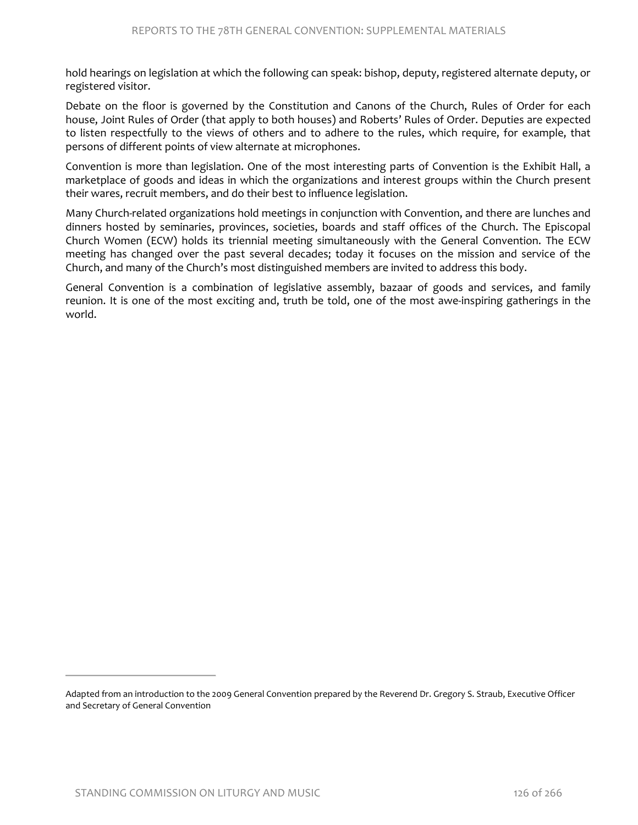hold hearings on legislation at which the following can speak: bishop, deputy, registered alternate deputy, or registered visitor.

Debate on the floor is governed by the Constitution and Canons of the Church, Rules of Order for each house, Joint Rules of Order (that apply to both houses) and Roberts' Rules of Order. Deputies are expected to listen respectfully to the views of others and to adhere to the rules, which require, for example, that persons of different points of view alternate at microphones.

Convention is more than legislation. One of the most interesting parts of Convention is the Exhibit Hall, a marketplace of goods and ideas in which the organizations and interest groups within the Church present their wares, recruit members, and do their best to influence legislation.

Many Church-related organizations hold meetings in conjunction with Convention, and there are lunches and dinners hosted by seminaries, provinces, societies, boards and staff offices of the Church. The Episcopal Church Women (ECW) holds its triennial meeting simultaneously with the General Convention. The ECW meeting has changed over the past several decades; today it focuses on the mission and service of the Church, and many of the Church's most distinguished members are invited to address this body.

General Convention is a combination of legislative assembly, bazaar of goods and services, and family reunion. It is one of the most exciting and, truth be told, one of the most awe-inspiring gatherings in the world.

Adapted from an introduction to the 2009 General Convention prepared by the Reverend Dr. Gregory S. Straub, Executive Officer and Secretary of General Convention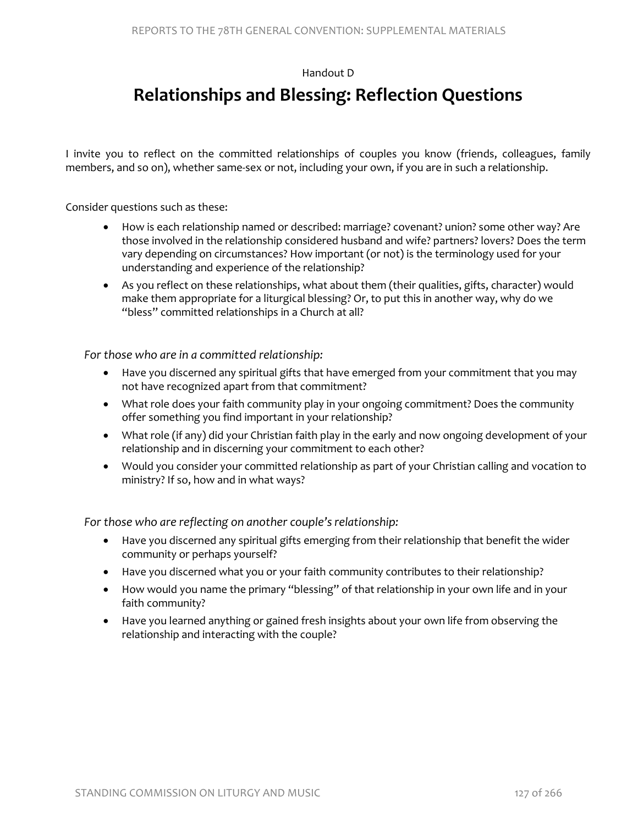Handout D

# **Relationships and Blessing: Reflection Questions**

I invite you to reflect on the committed relationships of couples you know (friends, colleagues, family members, and so on), whether same-sex or not, including your own, if you are in such a relationship.

Consider questions such as these:

- How is each relationship named or described: marriage? covenant? union? some other way? Are those involved in the relationship considered husband and wife? partners? lovers? Does the term vary depending on circumstances? How important (or not) is the terminology used for your understanding and experience of the relationship?
- As you reflect on these relationships, what about them (their qualities, gifts, character) would make them appropriate for a liturgical blessing? Or, to put this in another way, why do we "bless" committed relationships in a Church at all?

*For those who are in a committed relationship:*

- Have you discerned any spiritual gifts that have emerged from your commitment that you may not have recognized apart from that commitment?
- What role does your faith community play in your ongoing commitment? Does the community offer something you find important in your relationship?
- What role (if any) did your Christian faith play in the early and now ongoing development of your relationship and in discerning your commitment to each other?
- Would you consider your committed relationship as part of your Christian calling and vocation to ministry? If so, how and in what ways?

*For those who are reflecting on another couple's relationship:*

- Have you discerned any spiritual gifts emerging from their relationship that benefit the wider community or perhaps yourself?
- Have you discerned what you or your faith community contributes to their relationship?
- How would you name the primary "blessing" of that relationship in your own life and in your faith community?
- Have you learned anything or gained fresh insights about your own life from observing the relationship and interacting with the couple?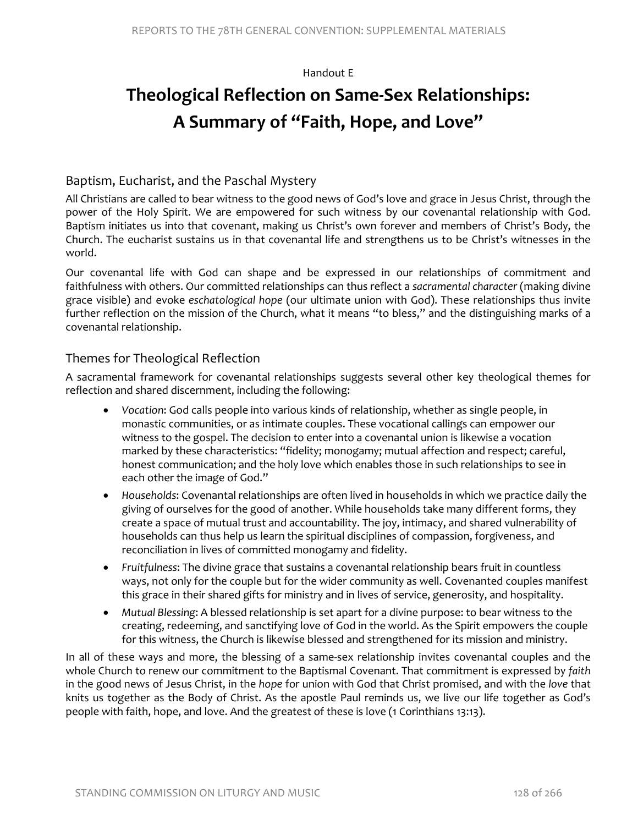#### Handout E

# **Theological Reflection on Same-Sex Relationships: A Summary of "Faith, Hope, and Love"**

# Baptism, Eucharist, and the Paschal Mystery

All Christians are called to bear witness to the good news of God's love and grace in Jesus Christ, through the power of the Holy Spirit. We are empowered for such witness by our covenantal relationship with God. Baptism initiates us into that covenant, making us Christ's own forever and members of Christ's Body, the Church. The eucharist sustains us in that covenantal life and strengthens us to be Christ's witnesses in the world.

Our covenantal life with God can shape and be expressed in our relationships of commitment and faithfulness with others. Our committed relationships can thus reflect a *sacramental character* (making divine grace visible) and evoke *eschatological hope* (our ultimate union with God). These relationships thus invite further reflection on the mission of the Church, what it means "to bless," and the distinguishing marks of a covenantal relationship.

# Themes for Theological Reflection

A sacramental framework for covenantal relationships suggests several other key theological themes for reflection and shared discernment, including the following:

- *Vocation*: God calls people into various kinds of relationship, whether as single people, in monastic communities, or as intimate couples. These vocational callings can empower our witness to the gospel. The decision to enter into a covenantal union is likewise a vocation marked by these characteristics: "fidelity; monogamy; mutual affection and respect; careful, honest communication; and the holy love which enables those in such relationships to see in each other the image of God."
- *Households*: Covenantal relationships are often lived in households in which we practice daily the giving of ourselves for the good of another. While households take many different forms, they create a space of mutual trust and accountability. The joy, intimacy, and shared vulnerability of households can thus help us learn the spiritual disciplines of compassion, forgiveness, and reconciliation in lives of committed monogamy and fidelity.
- *Fruitfulness*: The divine grace that sustains a covenantal relationship bears fruit in countless ways, not only for the couple but for the wider community as well. Covenanted couples manifest this grace in their shared gifts for ministry and in lives of service, generosity, and hospitality.
- *Mutual Blessing*: A blessed relationship is set apart for a divine purpose: to bear witness to the creating, redeeming, and sanctifying love of God in the world. As the Spirit empowers the couple for this witness, the Church is likewise blessed and strengthened for its mission and ministry.

In all of these ways and more, the blessing of a same-sex relationship invites covenantal couples and the whole Church to renew our commitment to the Baptismal Covenant. That commitment is expressed by *faith* in the good news of Jesus Christ, in the *hope* for union with God that Christ promised, and with the *love* that knits us together as the Body of Christ. As the apostle Paul reminds us, we live our life together as God's people with faith, hope, and love. And the greatest of these is love (1 Corinthians 13:13).